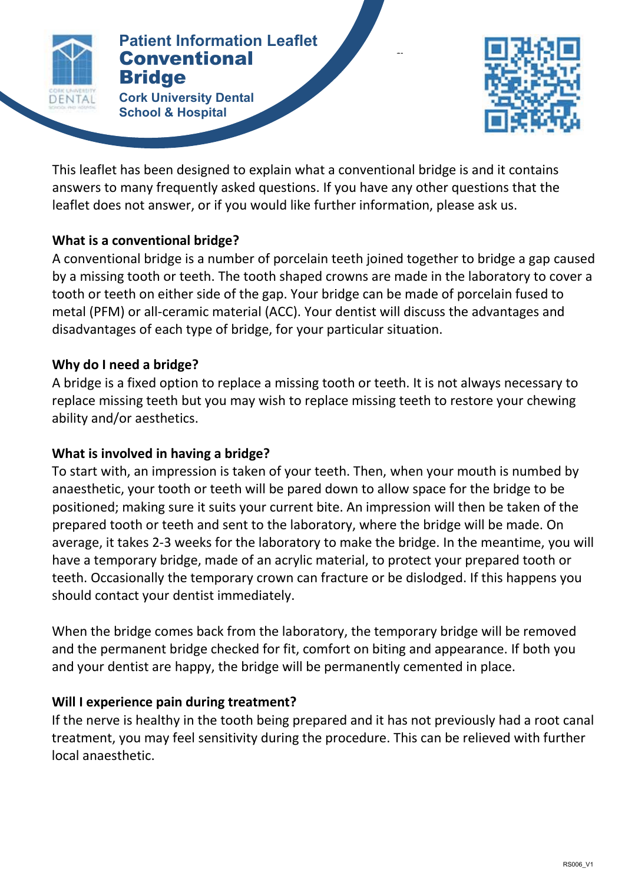

#### **Patientional CONVENTIONAL BRIDGE Patient Information Leaflet Bridge**

**Cork University Dental School & Hospital**



This leaflet has been designed to explain what a conventional bridge is and it contains answers to many frequently asked questions. If you have any other questions that the leaflet does not answer, or if you would like further information, please ask us.

### **What is a conventional bridge?**

A conventional bridge is a number of porcelain teeth joined together to bridge a gap caused by a missing tooth or teeth. The tooth shaped crowns are made in the laboratory to cover a tooth or teeth on either side of the gap. Your bridge can be made of porcelain fused to metal (PFM) or all-ceramic material (ACC). Your dentist will discuss the advantages and disadvantages of each type of bridge, for your particular situation.

# **Why do I need a bridge?**

A bridge is a fixed option to replace a missing tooth or teeth. It is not always necessary to replace missing teeth but you may wish to replace missing teeth to restore your chewing ability and/or aesthetics.

# **What is involved in having a bridge?**

To start with, an impression is taken of your teeth. Then, when your mouth is numbed by anaesthetic, your tooth or teeth will be pared down to allow space for the bridge to be positioned; making sure it suits your current bite. An impression will then be taken of the prepared tooth or teeth and sent to the laboratory, where the bridge will be made. On average, it takes 2-3 weeks for the laboratory to make the bridge. In the meantime, you will have a temporary bridge, made of an acrylic material, to protect your prepared tooth or teeth. Occasionally the temporary crown can fracture or be dislodged. If this happens you should contact your dentist immediately.

When the bridge comes back from the laboratory, the temporary bridge will be removed and the permanent bridge checked for fit, comfort on biting and appearance. If both you and your dentist are happy, the bridge will be permanently cemented in place.

# **Will I experience pain during treatment?**

If the nerve is healthy in the tooth being prepared and it has not previously had a root canal treatment, you may feel sensitivity during the procedure. This can be relieved with further local anaesthetic.